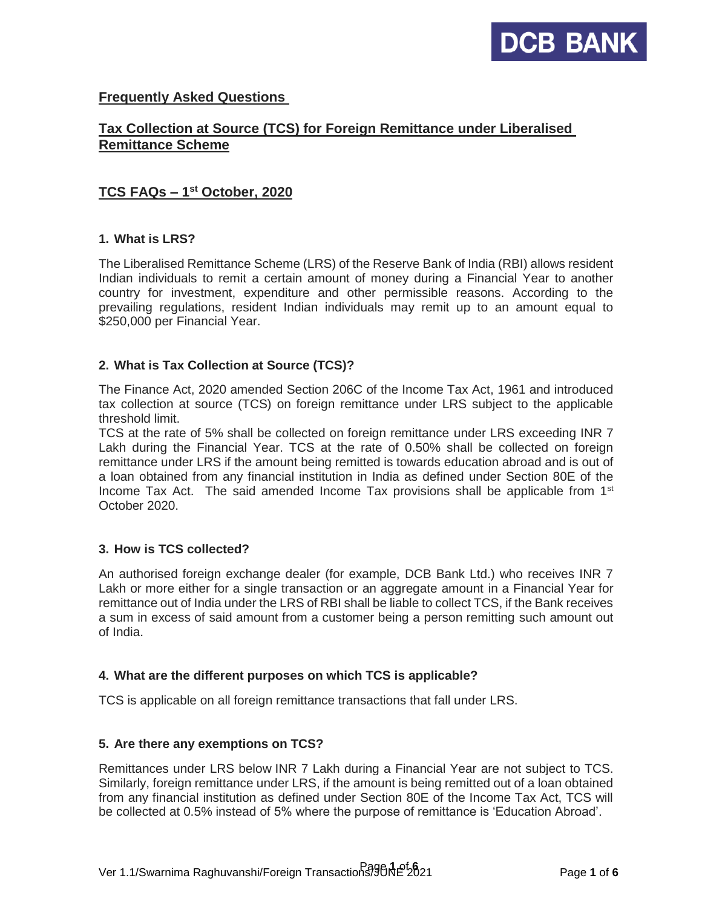

# **Frequently Asked Questions**

# **Tax Collection at Source (TCS) for Foreign Remittance under Liberalised Remittance Scheme**

# **TCS FAQs – 1 st October, 2020**

#### **1. What is LRS?**

The Liberalised Remittance Scheme (LRS) of the Reserve Bank of India (RBI) allows resident Indian individuals to remit a certain amount of money during a Financial Year to another country for investment, expenditure and other permissible reasons. According to the prevailing regulations, resident Indian individuals may remit up to an amount equal to \$250,000 per Financial Year.

### **2. What is Tax Collection at Source (TCS)?**

The Finance Act, 2020 amended Section 206C of the Income Tax Act, 1961 and introduced tax collection at source (TCS) on foreign remittance under LRS subject to the applicable threshold limit.

TCS at the rate of 5% shall be collected on foreign remittance under LRS exceeding INR 7 Lakh during the Financial Year. TCS at the rate of 0.50% shall be collected on foreign remittance under LRS if the amount being remitted is towards education abroad and is out of a loan obtained from any financial institution in India as defined under Section 80E of the Income Tax Act. The said amended Income Tax provisions shall be applicable from 1<sup>st</sup> October 2020.

### **3. How is TCS collected?**

An authorised foreign exchange dealer (for example, DCB Bank Ltd.) who receives INR 7 Lakh or more either for a single transaction or an aggregate amount in a Financial Year for remittance out of India under the LRS of RBI shall be liable to collect TCS, if the Bank receives a sum in excess of said amount from a customer being a person remitting such amount out of India.

#### **4. What are the different purposes on which TCS is applicable?**

TCS is applicable on all foreign remittance transactions that fall under LRS.

#### **5. Are there any exemptions on TCS?**

Remittances under LRS below INR 7 Lakh during a Financial Year are not subject to TCS. Similarly, foreign remittance under LRS, if the amount is being remitted out of a loan obtained from any financial institution as defined under Section 80E of the Income Tax Act, TCS will be collected at 0.5% instead of 5% where the purpose of remittance is 'Education Abroad'.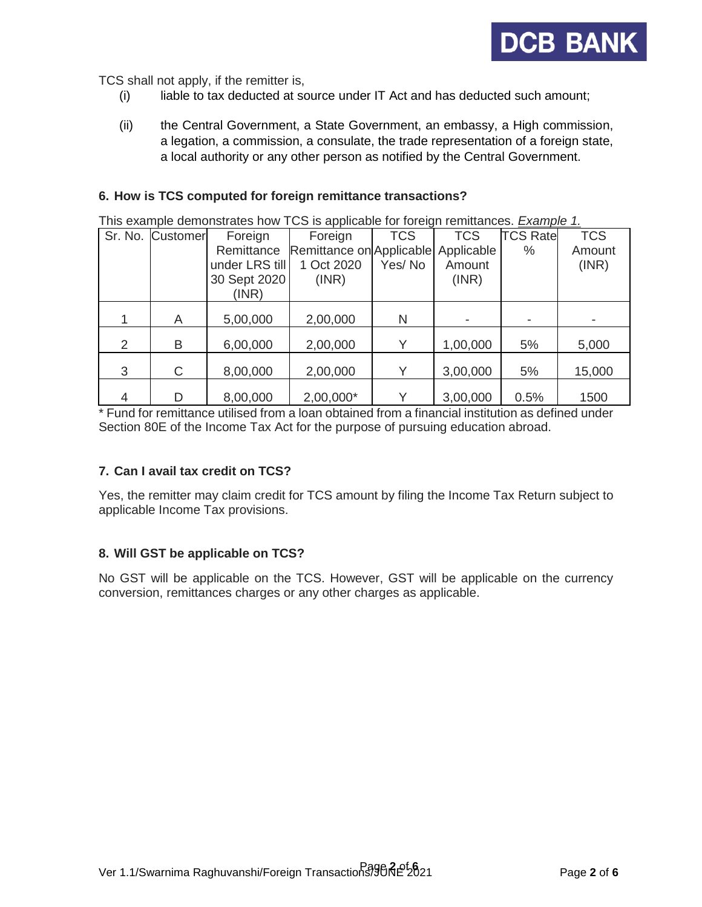

TCS shall not apply, if the remitter is,

- (i) liable to tax deducted at source under IT Act and has deducted such amount;
- (ii) the Central Government, a State Government, an embassy, a High commission, a legation, a commission, a consulate, the trade representation of a foreign state, a local authority or any other person as notified by the Central Government.

#### **6. How is TCS computed for foreign remittance transactions?**

This example demonstrates how TCS is applicable for foreign remittances. *Example 1.*

|   | Sr. No. Customer | Foreign        | Foreign                             | <b>TCS</b>   | <b>TCS</b> | <b>TCS Rate</b> | <b>TCS</b> |
|---|------------------|----------------|-------------------------------------|--------------|------------|-----------------|------------|
|   |                  | Remittance     | Remittance on Applicable Applicable |              |            | $\%$            | Amount     |
|   |                  | under LRS till | 1 Oct 2020                          | Yes/No       | Amount     |                 | (INR)      |
|   |                  | 30 Sept 2020   | (INR)                               |              | (INR)      |                 |            |
|   |                  | (INR)          |                                     |              |            |                 |            |
|   |                  |                |                                     |              |            |                 |            |
|   | A                | 5,00,000       | 2,00,000                            | N            |            |                 |            |
|   |                  |                |                                     |              |            |                 |            |
| 2 | B                | 6,00,000       | 2,00,000                            |              | 1,00,000   | 5%              | 5,000      |
|   |                  |                |                                     |              |            |                 |            |
| 3 | C                | 8,00,000       | 2,00,000                            | $\checkmark$ | 3,00,000   | 5%              | 15,000     |
|   |                  |                |                                     |              |            |                 |            |
| 4 |                  | 8,00,000       | 2,00,000*                           |              | 3,00,000   | 0.5%            | 1500       |

\* Fund for remittance utilised from a loan obtained from a financial institution as defined under Section 80E of the Income Tax Act for the purpose of pursuing education abroad.

### **7. Can I avail tax credit on TCS?**

Yes, the remitter may claim credit for TCS amount by filing the Income Tax Return subject to applicable Income Tax provisions.

### **8. Will GST be applicable on TCS?**

No GST will be applicable on the TCS. However, GST will be applicable on the currency conversion, remittances charges or any other charges as applicable.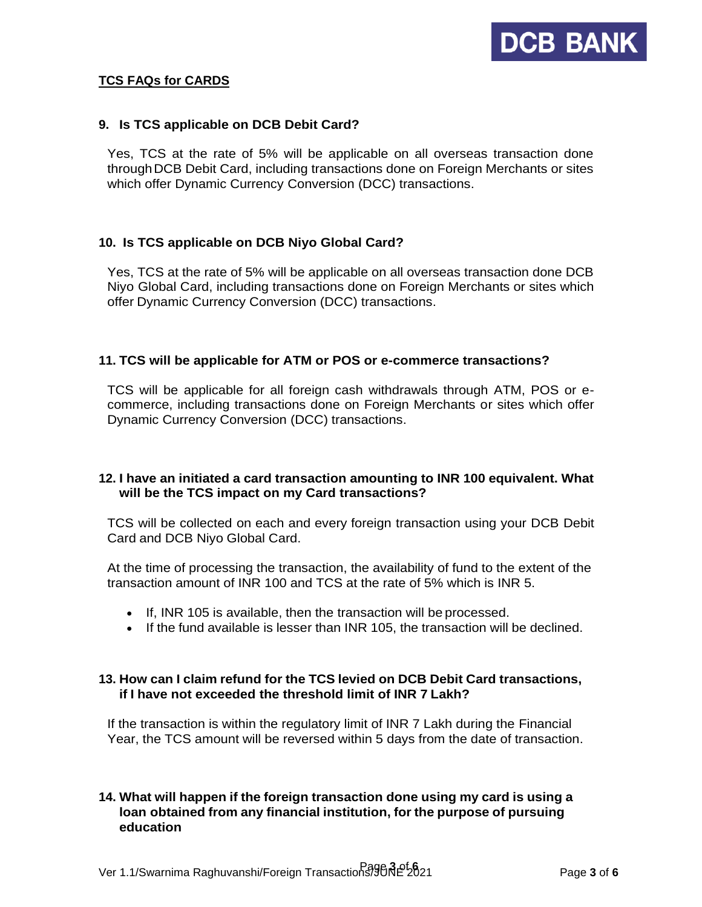

## **TCS FAQs for CARDS**

#### **9. Is TCS applicable on DCB Debit Card?**

Yes, TCS at the rate of 5% will be applicable on all overseas transaction done through DCB Debit Card, including transactions done on Foreign Merchants or sites which offer Dynamic Currency Conversion (DCC) transactions.

### **10. Is TCS applicable on DCB Niyo Global Card?**

Yes, TCS at the rate of 5% will be applicable on all overseas transaction done DCB Niyo Global Card, including transactions done on Foreign Merchants or sites which offer Dynamic Currency Conversion (DCC) transactions.

#### **11. TCS will be applicable for ATM or POS or e-commerce transactions?**

TCS will be applicable for all foreign cash withdrawals through ATM, POS or ecommerce, including transactions done on Foreign Merchants or sites which offer Dynamic Currency Conversion (DCC) transactions.

#### **12. I have an initiated a card transaction amounting to INR 100 equivalent. What will be the TCS impact on my Card transactions?**

TCS will be collected on each and every foreign transaction using your DCB Debit Card and DCB Niyo Global Card.

At the time of processing the transaction, the availability of fund to the extent of the transaction amount of INR 100 and TCS at the rate of 5% which is INR 5.

- If, INR 105 is available, then the transaction will be processed.
- If the fund available is lesser than INR 105, the transaction will be declined.

#### **13. How can I claim refund for the TCS levied on DCB Debit Card transactions, if I have not exceeded the threshold limit of INR 7 Lakh?**

If the transaction is within the regulatory limit of INR 7 Lakh during the Financial Year, the TCS amount will be reversed within 5 days from the date of transaction.

# **14. What will happen if the foreign transaction done using my card is using a loan obtained from any financial institution, for the purpose of pursuing education**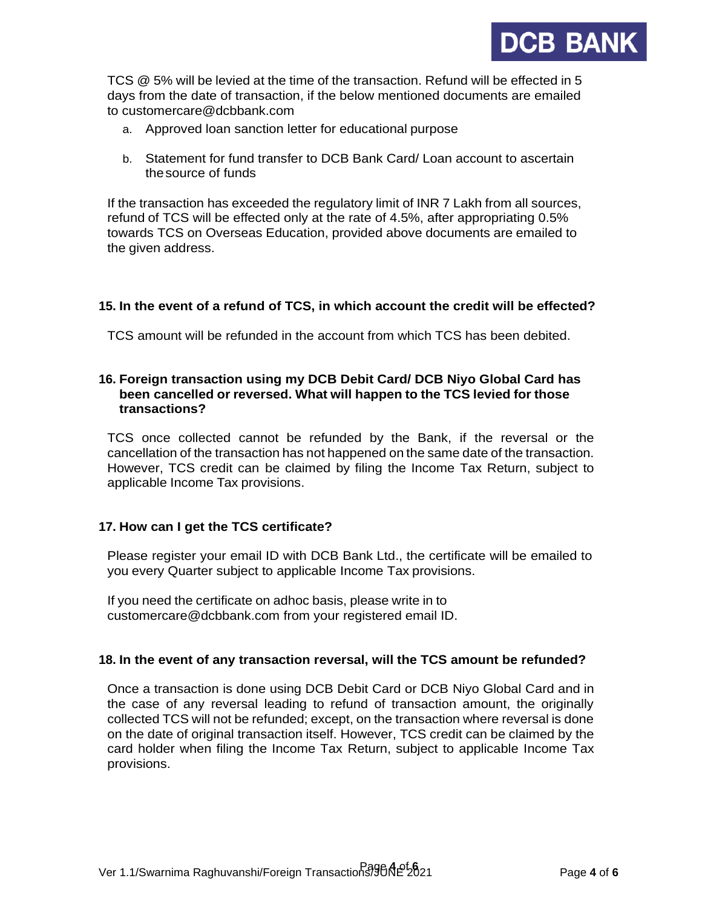

TCS @ 5% will be levied at the time of the transaction. Refund will be effected in 5 days from the date of transaction, if the below mentioned documents are emailed to [customercare@dcbbank.com](mailto:customercare@dcbbank.com)

- a. Approved loan sanction letter for educational purpose
- b. Statement for fund transfer to DCB Bank Card/ Loan account to ascertain thesource of funds

If the transaction has exceeded the regulatory limit of INR 7 Lakh from all sources, refund of TCS will be effected only at the rate of 4.5%, after appropriating 0.5% towards TCS on Overseas Education, provided above documents are emailed to the given address.

### **15. In the event of a refund of TCS, in which account the credit will be effected?**

TCS amount will be refunded in the account from which TCS has been debited.

### **16. Foreign transaction using my DCB Debit Card/ DCB Niyo Global Card has been cancelled or reversed. What will happen to the TCS levied for those transactions?**

TCS once collected cannot be refunded by the Bank, if the reversal or the cancellation of the transaction has not happened on the same date of the transaction. However, TCS credit can be claimed by filing the Income Tax Return, subject to applicable Income Tax provisions.

### **17. How can I get the TCS certificate?**

Please register your email ID with DCB Bank Ltd., the certificate will be emailed to you every Quarter subject to applicable Income Tax provisions.

If you need the certificate on adhoc basis, please write in to [customercare@dcbbank.com](mailto:customercare@dcbbank.com) from your registered email ID.

### **18. In the event of any transaction reversal, will the TCS amount be refunded?**

Once a transaction is done using DCB Debit Card or DCB Niyo Global Card and in the case of any reversal leading to refund of transaction amount, the originally collected TCS will not be refunded; except, on the transaction where reversal is done on the date of original transaction itself. However, TCS credit can be claimed by the card holder when filing the Income Tax Return, subject to applicable Income Tax provisions.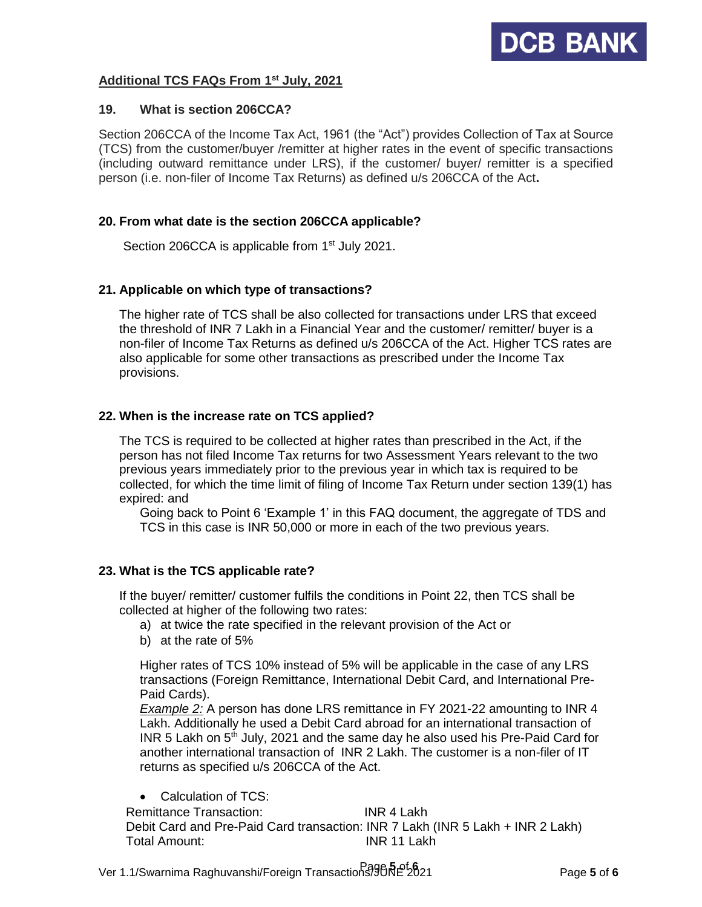# **Additional TCS FAQs From 1st July, 2021**

#### **19. What is section 206CCA?**

Section 206CCA of the Income Tax Act, 1961 (the "Act") provides Collection of Tax at Source (TCS) from the customer/buyer /remitter at higher rates in the event of specific transactions (including outward remittance under LRS), if the customer/ buyer/ remitter is a specified person (i.e. non-filer of Income Tax Returns) as defined u/s 206CCA of the Act**.** 

### **20. From what date is the section 206CCA applicable?**

Section 206CCA is applicable from 1<sup>st</sup> July 2021.

### **21. Applicable on which type of transactions?**

The higher rate of TCS shall be also collected for transactions under LRS that exceed the threshold of INR 7 Lakh in a Financial Year and the customer/ remitter/ buyer is a non-filer of Income Tax Returns as defined u/s 206CCA of the Act. Higher TCS rates are also applicable for some other transactions as prescribed under the Income Tax provisions.

# **22. When is the increase rate on TCS applied?**

The TCS is required to be collected at higher rates than prescribed in the Act, if the person has not filed Income Tax returns for two Assessment Years relevant to the two previous years immediately prior to the previous year in which tax is required to be collected, for which the time limit of filing of Income Tax Return under section 139(1) has expired: and

Going back to Point 6 'Example 1' in this FAQ document, the aggregate of TDS and TCS in this case is INR 50,000 or more in each of the two previous years.

### **23. What is the TCS applicable rate?**

If the buyer/ remitter/ customer fulfils the conditions in Point 22, then TCS shall be collected at higher of the following two rates:

- a) at twice the rate specified in the relevant provision of the Act or
- b) at the rate of 5%

Higher rates of TCS 10% instead of 5% will be applicable in the case of any LRS transactions (Foreign Remittance, International Debit Card, and International Pre-Paid Cards).

*Example 2:* A person has done LRS remittance in FY 2021-22 amounting to INR 4 Lakh. Additionally he used a Debit Card abroad for an international transaction of INR 5 Lakh on  $5<sup>th</sup>$  July, 2021 and the same day he also used his Pre-Paid Card for another international transaction of INR 2 Lakh. The customer is a non-filer of IT returns as specified u/s 206CCA of the Act.

• Calculation of TCS: Remittance Transaction: INR 4 Lakh Debit Card and Pre-Paid Card transaction: INR 7 Lakh (INR 5 Lakh + INR 2 Lakh) Total Amount: INR 11 Lakh